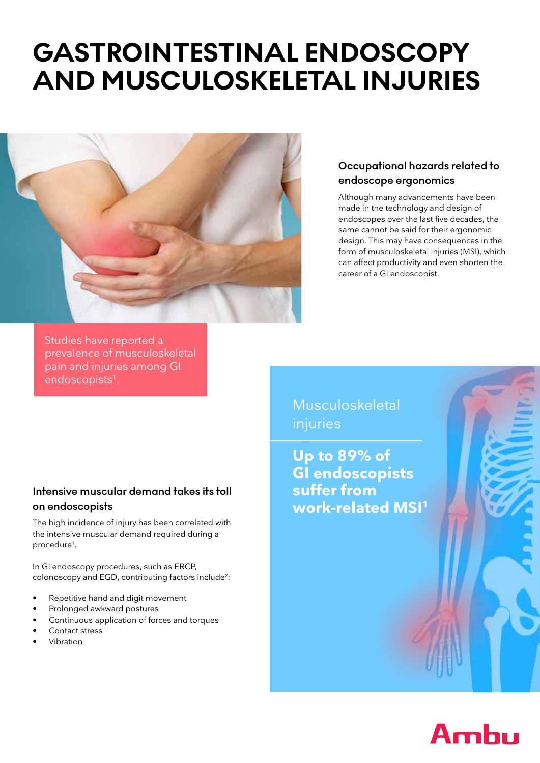# **GASTROINTESTINAL ENDOSCOPY AND MUSCULOSKELETAL INJURIES**



## **Occupational hazards related to endoscope ergonomics**

Although many advancements have been made in the technology and design of endoscopes over the last five decades, the same cannot be said for their ergonomic design. This may have consequences in the form of musculoskeletal injuries (MSI), which can affect productivity and even shorten the career of a GI endoscopist.

Studies have reported a prevalence of musculoskeletal pain and injuries among GI endoscopists<sup>1</sup>.

#### **Intensive muscular demand takes its toll on endoscopists**

The high incidence of injury has been correlated with the intensive muscular demand required during a procedure<sup>1</sup>.

In GI endoscopy procedures, such as ERCP, colonoscopy and EGD, contributing factors include<sup>2</sup>:

- Repetitive hand and digit movement
- Prolonged awkward postures
- Continuous application of forces and torques
- Contact stress
- Vibration

Musculoskeletal injuries

**Up to 89% of GI endoscopists suffer from work-related MSI<sup>1</sup>**